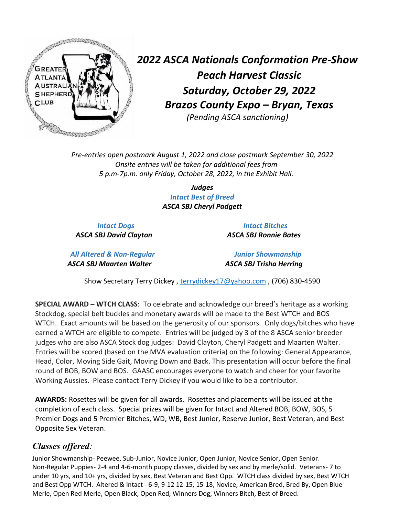

*2022 ASCA Nationals Conformation Pre-Show Peach Harvest Classic Saturday, October 29, 2022 Brazos County Expo – Bryan, Texas (Pending ASCA sanctioning)*

*Pre-entries open postmark August 1, 2022 and close postmark September 30, 2022 Onsite entries will be taken for additional fees from 5 p.m-7p.m. only Friday, October 28, 2022, in the Exhibit Hall.*

> *Judges Intact Best of Breed ASCA SBJ Cheryl Padgett*

 *ASCA SBJ David Clayton ASCA SBJ Ronnie Bates* 

 *Intact Dogs Intact Bitches*

*All Altered & Non-Regular Junior Showmanship ASCA SBJ Maarten Walter ASCA SBJ Trisha Herring*

Show Secretary Terry Dickey , [terrydickey17@yahoo.com](mailto:terrydickey17@yahoo.com) , (706) 830-4590

**SPECIAL AWARD – WTCH CLASS**: To celebrate and acknowledge our breed's heritage as a working Stockdog, special belt buckles and monetary awards will be made to the Best WTCH and BOS WTCH. Exact amounts will be based on the generosity of our sponsors. Only dogs/bitches who have earned a WTCH are eligible to compete. Entries will be judged by 3 of the 8 ASCA senior breeder judges who are also ASCA Stock dog judges: David Clayton, Cheryl Padgett and Maarten Walter. Entries will be scored (based on the MVA evaluation criteria) on the following: General Appearance, Head, Color, Moving Side Gait, Moving Down and Back. This presentation will occur before the final round of BOB, BOW and BOS. GAASC encourages everyone to watch and cheer for your favorite Working Aussies. Please contact Terry Dickey if you would like to be a contributor.

**AWARDS:** Rosettes will be given for all awards. Rosettes and placements will be issued at the completion of each class. Special prizes will be given for Intact and Altered BOB, BOW, BOS, 5 Premier Dogs and 5 Premier Bitches, WD, WB, Best Junior, Reserve Junior, Best Veteran, and Best Opposite Sex Veteran.

## *Classes offered:*

Junior Showmanship- Peewee, Sub-Junior, Novice Junior, Open Junior, Novice Senior, Open Senior. Non-Regular Puppies- 2-4 and 4-6-month puppy classes, divided by sex and by merle/solid. Veterans- 7 to under 10 yrs, and 10+ yrs, divided by sex, Best Veteran and Best Opp. WTCH class divided by sex, Best WTCH and Best Opp WTCH. Altered & Intact - 6-9, 9-12 12-15, 15-18, Novice, American Bred, Bred By, Open Blue Merle, Open Red Merle, Open Black, Open Red, Winners Dog, Winners Bitch, Best of Breed.